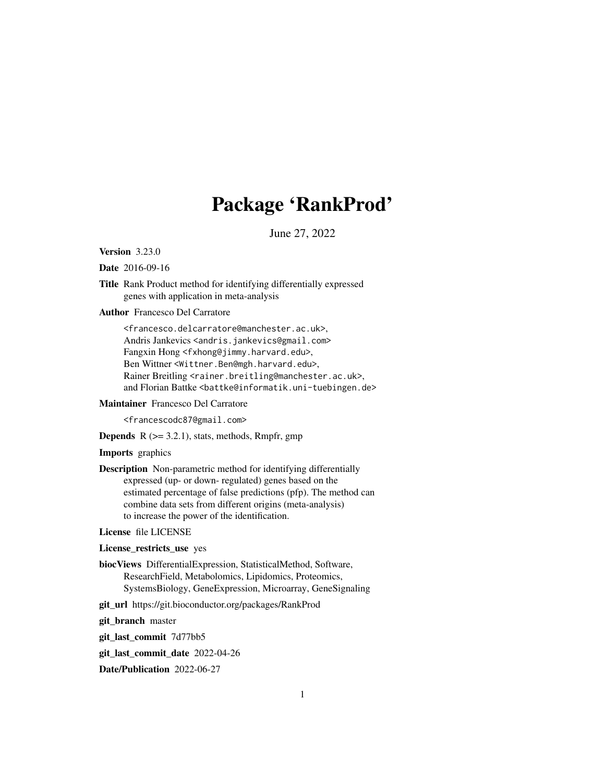# Package 'RankProd'

June 27, 2022

<span id="page-0-0"></span>Version 3.23.0

Date 2016-09-16

Title Rank Product method for identifying differentially expressed genes with application in meta-analysis

Author Francesco Del Carratore

<francesco.delcarratore@manchester.ac.uk>, Andris Jankevics <andris.jankevics@gmail.com> Fangxin Hong <fxhong@jimmy.harvard.edu>, Ben Wittner <Wittner.Ben@mgh.harvard.edu>, Rainer Breitling <rainer.breitling@manchester.ac.uk>, and Florian Battke <battke@informatik.uni-tuebingen.de>

Maintainer Francesco Del Carratore

<francescodc87@gmail.com>

**Depends**  $R$  ( $>= 3.2.1$ ), stats, methods, Rmpfr, gmp

Imports graphics

Description Non-parametric method for identifying differentially expressed (up- or down- regulated) genes based on the estimated percentage of false predictions (pfp). The method can combine data sets from different origins (meta-analysis) to increase the power of the identification.

License file LICENSE

License\_restricts\_use yes

biocViews DifferentialExpression, StatisticalMethod, Software, ResearchField, Metabolomics, Lipidomics, Proteomics, SystemsBiology, GeneExpression, Microarray, GeneSignaling

git\_url https://git.bioconductor.org/packages/RankProd

git\_branch master

git\_last\_commit 7d77bb5

git\_last\_commit\_date 2022-04-26

Date/Publication 2022-06-27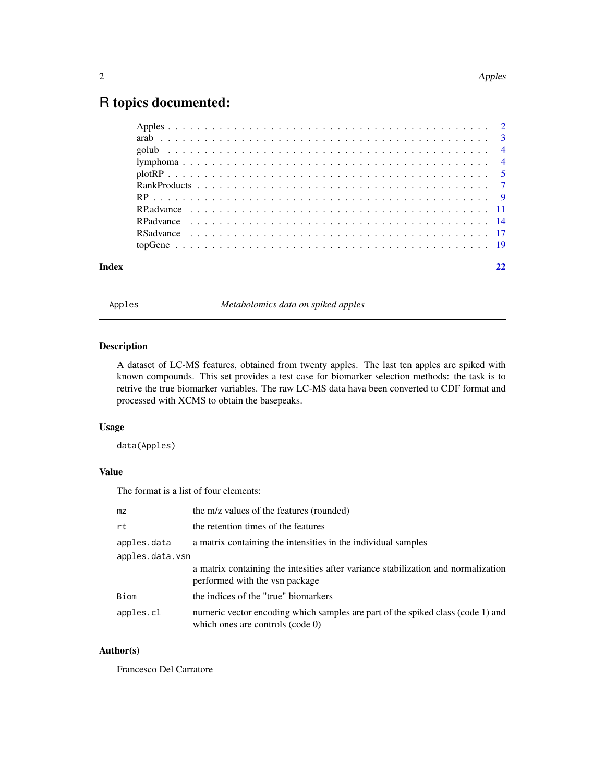# <span id="page-1-0"></span>R topics documented:

Apples *Metabolomics data on spiked apples*

# Description

A dataset of LC-MS features, obtained from twenty apples. The last ten apples are spiked with known compounds. This set provides a test case for biomarker selection methods: the task is to retrive the true biomarker variables. The raw LC-MS data hava been converted to CDF format and processed with XCMS to obtain the basepeaks.

# Usage

data(Apples)

# Value

The format is a list of four elements:

| mz              | the m/z values of the features (rounded)                                                                               |
|-----------------|------------------------------------------------------------------------------------------------------------------------|
| rt              | the retention times of the features                                                                                    |
| apples.data     | a matrix containing the intensities in the individual samples                                                          |
| apples.data.vsn |                                                                                                                        |
|                 | a matrix containing the intesities after variance stabilization and normalization<br>performed with the vsn package    |
| Biom            | the indices of the "true" biomarkers                                                                                   |
| apples.cl       | numeric vector encoding which samples are part of the spiked class (code 1) and<br>which ones are controls (code $0$ ) |

# Author(s)

Francesco Del Carratore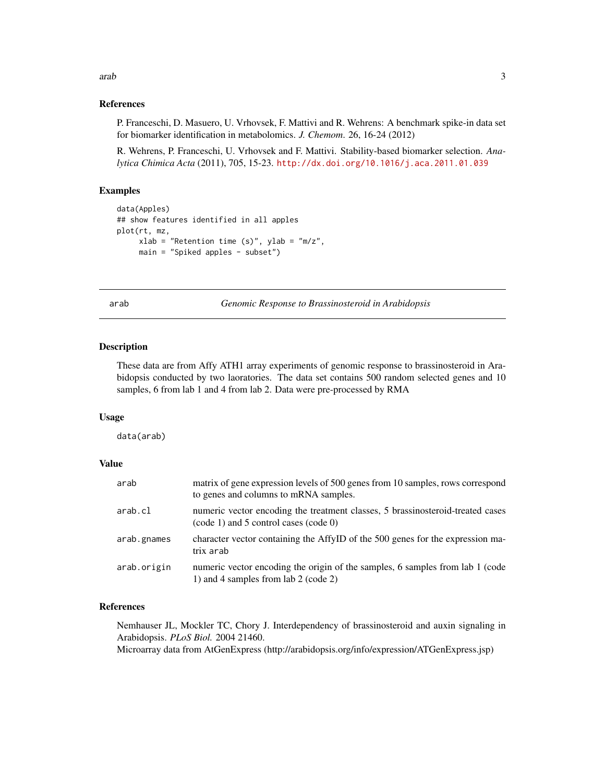#### <span id="page-2-0"></span>arab 3

## References

P. Franceschi, D. Masuero, U. Vrhovsek, F. Mattivi and R. Wehrens: A benchmark spike-in data set for biomarker identification in metabolomics. *J. Chemom*. 26, 16-24 (2012)

R. Wehrens, P. Franceschi, U. Vrhovsek and F. Mattivi. Stability-based biomarker selection. *Analytica Chimica Acta* (2011), 705, 15-23. <http://dx.doi.org/10.1016/j.aca.2011.01.039>

# Examples

```
data(Apples)
## show features identified in all apples
plot(rt, mz,
    xlab = "Retention time (s)", ylab = "m/z",main = "Spiked apples - subset")
```
arab *Genomic Response to Brassinosteroid in Arabidopsis*

#### Description

These data are from Affy ATH1 array experiments of genomic response to brassinosteroid in Arabidopsis conducted by two laoratories. The data set contains 500 random selected genes and 10 samples, 6 from lab 1 and 4 from lab 2. Data were pre-processed by RMA

## Usage

data(arab)

#### Value

| arab        | matrix of gene expression levels of 500 genes from 10 samples, rows correspond<br>to genes and columns to mRNA samples. |
|-------------|-------------------------------------------------------------------------------------------------------------------------|
| arab.cl     | numeric vector encoding the treatment classes, 5 brassinosteroid-treated cases<br>(code 1) and 5 control cases (code 0) |
| arab.gnames | character vector containing the AffyID of the 500 genes for the expression ma-<br>trix arab                             |
| arab.origin | numeric vector encoding the origin of the samples, 6 samples from lab 1 (code<br>1) and 4 samples from lab 2 (code 2)   |

# References

Nemhauser JL, Mockler TC, Chory J. Interdependency of brassinosteroid and auxin signaling in Arabidopsis. *PLoS Biol.* 2004 21460. Microarray data from AtGenExpress (http://arabidopsis.org/info/expression/ATGenExpress.jsp)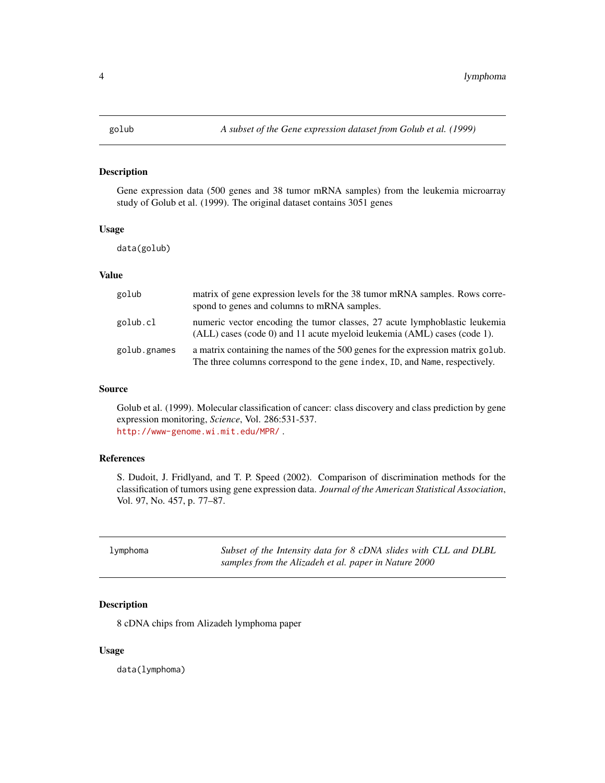#### <span id="page-3-0"></span>Description

Gene expression data (500 genes and 38 tumor mRNA samples) from the leukemia microarray study of Golub et al. (1999). The original dataset contains 3051 genes

#### Usage

data(golub)

# Value

| golub        | matrix of gene expression levels for the 38 tumor mRNA samples. Rows corre-<br>spond to genes and columns to mRNA samples.                                     |
|--------------|----------------------------------------------------------------------------------------------------------------------------------------------------------------|
| golub.cl     | numeric vector encoding the tumor classes, 27 acute lymphoblastic leukemia<br>(ALL) cases (code 0) and 11 acute myeloid leukemia (AML) cases (code 1).         |
| golub.gnames | a matrix containing the names of the 500 genes for the expression matrix golub.<br>The three columns correspond to the gene index, ID, and Name, respectively. |

#### Source

Golub et al. (1999). Molecular classification of cancer: class discovery and class prediction by gene expression monitoring, *Science*, Vol. 286:531-537. <http://www-genome.wi.mit.edu/MPR/> .

#### References

S. Dudoit, J. Fridlyand, and T. P. Speed (2002). Comparison of discrimination methods for the classification of tumors using gene expression data. *Journal of the American Statistical Association*, Vol. 97, No. 457, p. 77–87.

| lymphoma | Subset of the Intensity data for 8 cDNA slides with CLL and DLBL |
|----------|------------------------------------------------------------------|
|          | samples from the Alizadeh et al. paper in Nature 2000            |

# Description

8 cDNA chips from Alizadeh lymphoma paper

#### Usage

data(lymphoma)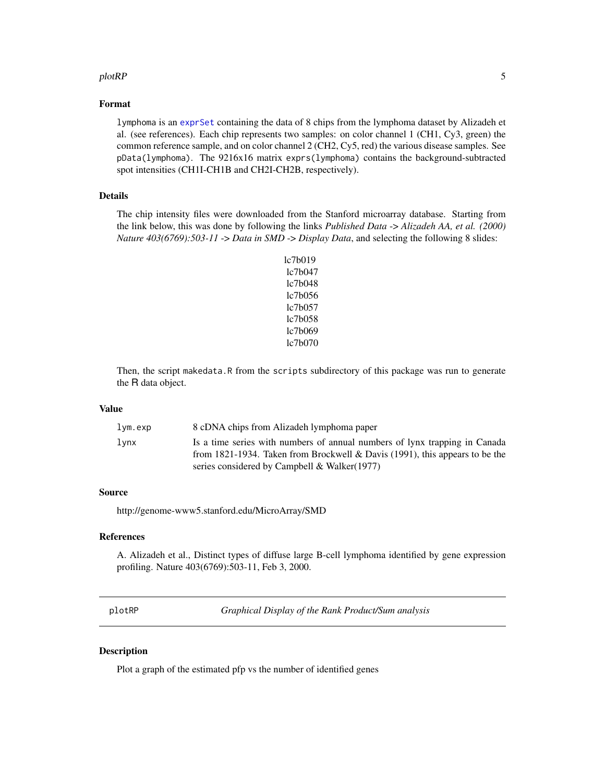#### <span id="page-4-0"></span>plotRP 5

## Format

lymphoma is an [exprSet](#page-0-0) containing the data of 8 chips from the lymphoma dataset by Alizadeh et al. (see references). Each chip represents two samples: on color channel 1 (CH1, Cy3, green) the common reference sample, and on color channel 2 (CH2, Cy5, red) the various disease samples. See pData(lymphoma). The 9216x16 matrix exprs(lymphoma) contains the background-subtracted spot intensities (CH1I-CH1B and CH2I-CH2B, respectively).

# Details

The chip intensity files were downloaded from the Stanford microarray database. Starting from the link below, this was done by following the links *Published Data* -> *Alizadeh AA, et al. (2000) Nature 403(6769):503-11* -> *Data in SMD* -> *Display Data*, and selecting the following 8 slides:

> lc7b019 lc7b047 lc7b048 lc7b056 lc7b057 lc7b058 lc7b069 lc7b070

Then, the script makedata.R from the scripts subdirectory of this package was run to generate the R data object.

#### Value

| lym.exp | 8 cDNA chips from Alizadeh lymphoma paper                                   |
|---------|-----------------------------------------------------------------------------|
| lvnx    | Is a time series with numbers of annual numbers of lynx trapping in Canada  |
|         | from 1821-1934. Taken from Brockwell & Davis (1991), this appears to be the |
|         | series considered by Campbell & Walker(1977)                                |

#### Source

http://genome-www5.stanford.edu/MicroArray/SMD

# References

A. Alizadeh et al., Distinct types of diffuse large B-cell lymphoma identified by gene expression profiling. Nature 403(6769):503-11, Feb 3, 2000.

<span id="page-4-1"></span>

*Graphical Display of the Rank Product/Sum analysis* 

## **Description**

Plot a graph of the estimated pfp vs the number of identified genes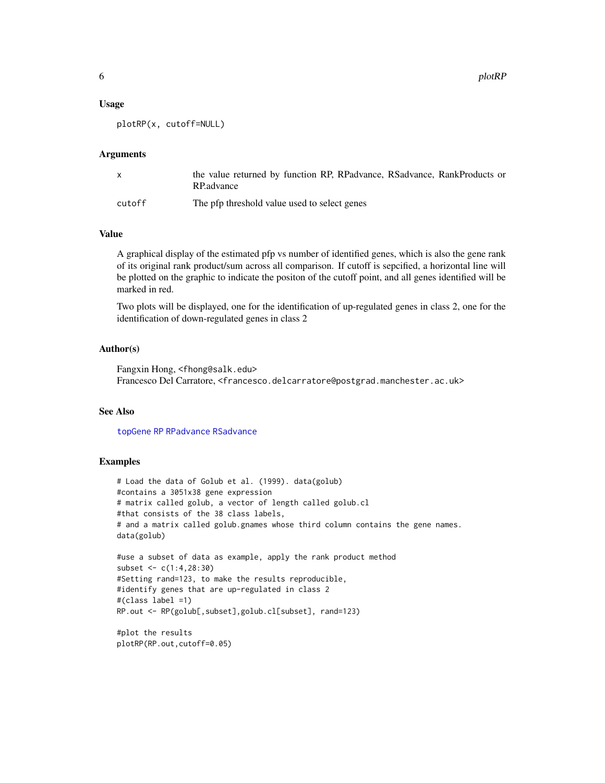<span id="page-5-0"></span>6 plotRP

#### Usage

plotRP(x, cutoff=NULL)

#### Arguments

|        | the value returned by function RP, RPadvance, RSadvance, RankProducts or<br>RP. advance |
|--------|-----------------------------------------------------------------------------------------|
| cutoff | The pfp threshold value used to select genes                                            |

# Value

A graphical display of the estimated pfp vs number of identified genes, which is also the gene rank of its original rank product/sum across all comparison. If cutoff is sepcified, a horizontal line will be plotted on the graphic to indicate the positon of the cutoff point, and all genes identified will be marked in red.

Two plots will be displayed, one for the identification of up-regulated genes in class 2, one for the identification of down-regulated genes in class 2

## Author(s)

Fangxin Hong, <fhong@salk.edu> Francesco Del Carratore, <francesco.delcarratore@postgrad.manchester.ac.uk>

#### See Also

[topGene](#page-18-1) [RP](#page-8-1) [RPadvance](#page-13-1) [RSadvance](#page-16-1)

#### Examples

```
# Load the data of Golub et al. (1999). data(golub)
#contains a 3051x38 gene expression
# matrix called golub, a vector of length called golub.cl
#that consists of the 38 class labels,
# and a matrix called golub.gnames whose third column contains the gene names.
data(golub)
```

```
#use a subset of data as example, apply the rank product method
subset <- c(1:4,28:30)
#Setting rand=123, to make the results reproducible,
#identify genes that are up-regulated in class 2
#(class label =1)
RP.out <- RP(golub[,subset],golub.cl[subset], rand=123)
```

```
#plot the results
plotRP(RP.out,cutoff=0.05)
```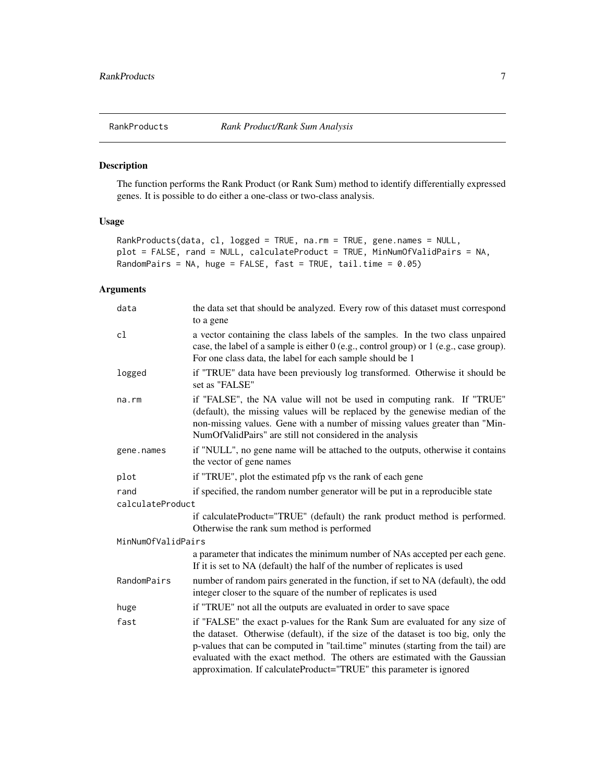<span id="page-6-1"></span><span id="page-6-0"></span>

# Description

The function performs the Rank Product (or Rank Sum) method to identify differentially expressed genes. It is possible to do either a one-class or two-class analysis.

#### Usage

```
RankProducts(data, cl, logged = TRUE, na.rm = TRUE, gene.names = NULL,
plot = FALSE, rand = NULL, calculateProduct = TRUE, MinNumOfValidPairs = NA,
RandomPairs = NA, huge = FALSE, fast = TRUE, tail.time = 0.05)
```
## Arguments

| data               | the data set that should be analyzed. Every row of this dataset must correspond<br>to a gene                                                                                                                                                                                                                                                                                                                 |
|--------------------|--------------------------------------------------------------------------------------------------------------------------------------------------------------------------------------------------------------------------------------------------------------------------------------------------------------------------------------------------------------------------------------------------------------|
| cl                 | a vector containing the class labels of the samples. In the two class unpaired<br>case, the label of a sample is either $0$ (e.g., control group) or $1$ (e.g., case group).<br>For one class data, the label for each sample should be 1                                                                                                                                                                    |
| logged             | if "TRUE" data have been previously log transformed. Otherwise it should be<br>set as "FALSE"                                                                                                                                                                                                                                                                                                                |
| $na$ . $rm$        | if "FALSE", the NA value will not be used in computing rank. If "TRUE"<br>(default), the missing values will be replaced by the genewise median of the<br>non-missing values. Gene with a number of missing values greater than "Min-<br>NumOfValidPairs" are still not considered in the analysis                                                                                                           |
| gene.names         | if "NULL", no gene name will be attached to the outputs, otherwise it contains<br>the vector of gene names                                                                                                                                                                                                                                                                                                   |
| plot               | if "TRUE", plot the estimated pfp vs the rank of each gene                                                                                                                                                                                                                                                                                                                                                   |
| rand               | if specified, the random number generator will be put in a reproducible state                                                                                                                                                                                                                                                                                                                                |
| calculateProduct   |                                                                                                                                                                                                                                                                                                                                                                                                              |
|                    | if calculateProduct="TRUE" (default) the rank product method is performed.<br>Otherwise the rank sum method is performed                                                                                                                                                                                                                                                                                     |
| MinNumOfValidPairs |                                                                                                                                                                                                                                                                                                                                                                                                              |
|                    | a parameter that indicates the minimum number of NAs accepted per each gene.<br>If it is set to NA (default) the half of the number of replicates is used                                                                                                                                                                                                                                                    |
| RandomPairs        | number of random pairs generated in the function, if set to NA (default), the odd<br>integer closer to the square of the number of replicates is used                                                                                                                                                                                                                                                        |
| huge               | if "TRUE" not all the outputs are evaluated in order to save space                                                                                                                                                                                                                                                                                                                                           |
| fast               | if "FALSE" the exact p-values for the Rank Sum are evaluated for any size of<br>the dataset. Otherwise (default), if the size of the dataset is too big, only the<br>p-values that can be computed in "tail.time" minutes (starting from the tail) are<br>evaluated with the exact method. The others are estimated with the Gaussian<br>approximation. If calculateProduct="TRUE" this parameter is ignored |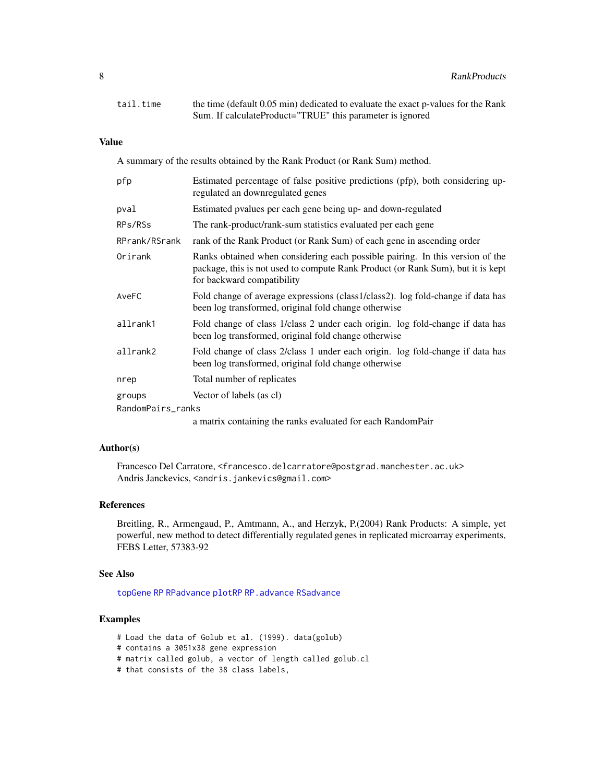<span id="page-7-0"></span>

| tail.time | the time (default 0.05 min) dedicated to evaluate the exact p-values for the Rank |
|-----------|-----------------------------------------------------------------------------------|
|           | Sum. If calculateProduct="TRUE" this parameter is ignored                         |

# Value

A summary of the results obtained by the Rank Product (or Rank Sum) method.

| pfp               | Estimated percentage of false positive predictions (pfp), both considering up-<br>regulated an downregulated genes                                                                             |
|-------------------|------------------------------------------------------------------------------------------------------------------------------------------------------------------------------------------------|
| pval              | Estimated pvalues per each gene being up- and down-regulated                                                                                                                                   |
| RPs/RSs           | The rank-product/rank-sum statistics evaluated per each gene                                                                                                                                   |
| RPrank/RSrank     | rank of the Rank Product (or Rank Sum) of each gene in ascending order                                                                                                                         |
| Orirank           | Ranks obtained when considering each possible pairing. In this version of the<br>package, this is not used to compute Rank Product (or Rank Sum), but it is kept<br>for backward compatibility |
| AveFC             | Fold change of average expressions (class1/class2). log fold-change if data has<br>been log transformed, original fold change otherwise                                                        |
| allrank1          | Fold change of class 1/class 2 under each origin. log fold-change if data has<br>been log transformed, original fold change otherwise                                                          |
| allrank2          | Fold change of class 2/class 1 under each origin. log fold-change if data has<br>been log transformed, original fold change otherwise                                                          |
| nrep              | Total number of replicates                                                                                                                                                                     |
| groups            | Vector of labels (as cl)                                                                                                                                                                       |
| RandomPairs_ranks |                                                                                                                                                                                                |
|                   | a matrix containing the ranks evaluated for each RandomPair                                                                                                                                    |

# Author(s)

Francesco Del Carratore, <francesco.delcarratore@postgrad.manchester.ac.uk> Andris Janckevics, <andris.jankevics@gmail.com>

## References

Breitling, R., Armengaud, P., Amtmann, A., and Herzyk, P.(2004) Rank Products: A simple, yet powerful, new method to detect differentially regulated genes in replicated microarray experiments, FEBS Letter, 57383-92

#### See Also

[topGene](#page-18-1) [RP](#page-8-1) [RPadvance](#page-13-1) [plotRP](#page-4-1) [RP.advance](#page-10-1) [RSadvance](#page-16-1)

# Examples

- # Load the data of Golub et al. (1999). data(golub)
- # contains a 3051x38 gene expression
- # matrix called golub, a vector of length called golub.cl
- # that consists of the 38 class labels,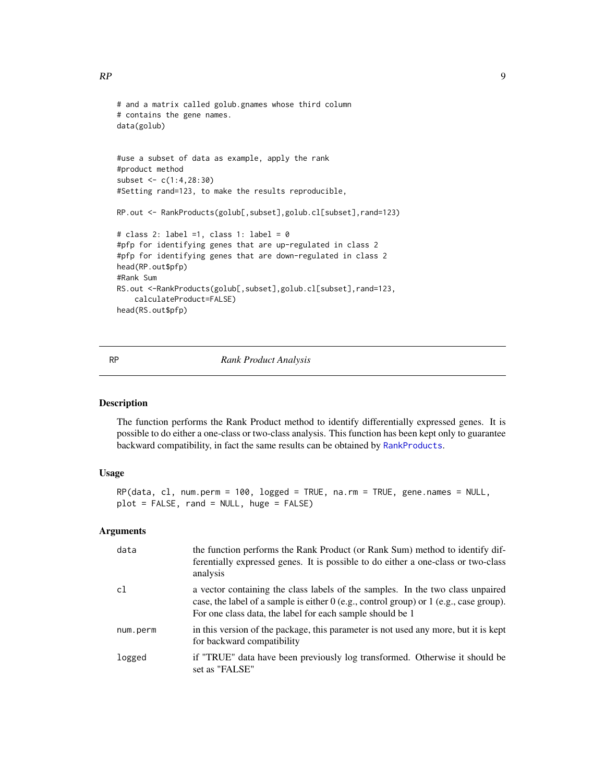```
# and a matrix called golub.gnames whose third column
# contains the gene names.
data(golub)
#use a subset of data as example, apply the rank
#product method
subset <- c(1:4,28:30)
#Setting rand=123, to make the results reproducible,
RP.out <- RankProducts(golub[,subset],golub.cl[subset],rand=123)
# class 2: label =1, class 1: label = 0#pfp for identifying genes that are up-regulated in class 2
#pfp for identifying genes that are down-regulated in class 2
head(RP.out$pfp)
#Rank Sum
RS.out <-RankProducts(golub[,subset],golub.cl[subset],rand=123,
    calculateProduct=FALSE)
head(RS.out$pfp)
```
<span id="page-8-1"></span>

#### RP *Rank Product Analysis*

# Description

The function performs the Rank Product method to identify differentially expressed genes. It is possible to do either a one-class or two-class analysis. This function has been kept only to guarantee backward compatibility, in fact the same results can be obtained by [RankProducts](#page-6-1).

# Usage

```
RP(data, cl, num.perm = 100, logged = TRUE, na.rm = TRUE, gene.names = NULL,
plot = FALSE, rand = NULL, huge = FALSE)
```
#### Arguments

| data     | the function performs the Rank Product (or Rank Sum) method to identify dif-<br>ferentially expressed genes. It is possible to do either a one-class or two-class<br>analysis                                                           |
|----------|-----------------------------------------------------------------------------------------------------------------------------------------------------------------------------------------------------------------------------------------|
| c1       | a vector containing the class labels of the samples. In the two class unpaired<br>case, the label of a sample is either $0$ (e.g., control group) or 1 (e.g., case group).<br>For one class data, the label for each sample should be 1 |
| num.perm | in this version of the package, this parameter is not used any more, but it is kept<br>for backward compatibility                                                                                                                       |
| logged   | if "TRUE" data have been previously log transformed. Otherwise it should be<br>set as "FALSE"                                                                                                                                           |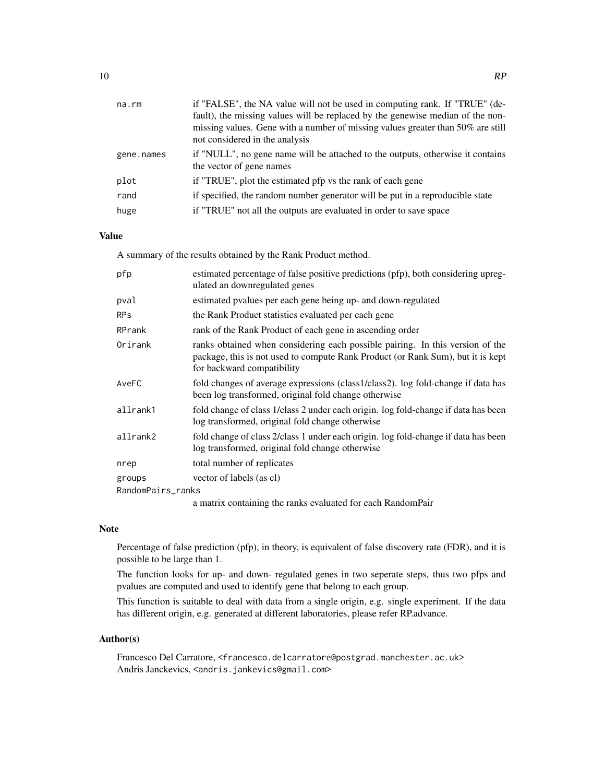| na.rm      | if "FALSE", the NA value will not be used in computing rank. If "TRUE" (de-                                |
|------------|------------------------------------------------------------------------------------------------------------|
|            | fault), the missing values will be replaced by the genewise median of the non-                             |
|            | missing values. Gene with a number of missing values greater than 50% are still                            |
|            | not considered in the analysis                                                                             |
| gene.names | if "NULL", no gene name will be attached to the outputs, otherwise it contains<br>the vector of gene names |
| plot       | if "TRUE", plot the estimated pfp vs the rank of each gene                                                 |
| rand       | if specified, the random number generator will be put in a reproducible state                              |
| huge       | if "TRUE" not all the outputs are evaluated in order to save space                                         |

# Value

A summary of the results obtained by the Rank Product method.

| pfp               | estimated percentage of false positive predictions (pfp), both considering upreg-<br>ulated an downregulated genes                                                                             |
|-------------------|------------------------------------------------------------------------------------------------------------------------------------------------------------------------------------------------|
| pval              | estimated pvalues per each gene being up- and down-regulated                                                                                                                                   |
| <b>RPs</b>        | the Rank Product statistics evaluated per each gene                                                                                                                                            |
| RPrank            | rank of the Rank Product of each gene in ascending order                                                                                                                                       |
| Orirank           | ranks obtained when considering each possible pairing. In this version of the<br>package, this is not used to compute Rank Product (or Rank Sum), but it is kept<br>for backward compatibility |
| AveFC             | fold changes of average expressions (class1/class2). log fold-change if data has<br>been log transformed, original fold change otherwise                                                       |
| allrank1          | fold change of class 1/class 2 under each origin. log fold-change if data has been<br>log transformed, original fold change otherwise                                                          |
| allrank2          | fold change of class 2/class 1 under each origin. log fold-change if data has been<br>log transformed, original fold change otherwise                                                          |
| nrep              | total number of replicates                                                                                                                                                                     |
| groups            | vector of labels (as cl)                                                                                                                                                                       |
| RandomPairs_ranks |                                                                                                                                                                                                |
|                   | a matrix containing the ranks evaluated for each RandomPair                                                                                                                                    |

# Note

Percentage of false prediction (pfp), in theory, is equivalent of false discovery rate (FDR), and it is possible to be large than 1.

The function looks for up- and down- regulated genes in two seperate steps, thus two pfps and pvalues are computed and used to identify gene that belong to each group.

This function is suitable to deal with data from a single origin, e.g. single experiment. If the data has different origin, e.g. generated at different laboratories, please refer RP.advance.

#### Author(s)

Francesco Del Carratore, <francesco.delcarratore@postgrad.manchester.ac.uk> Andris Janckevics, <andris.jankevics@gmail.com>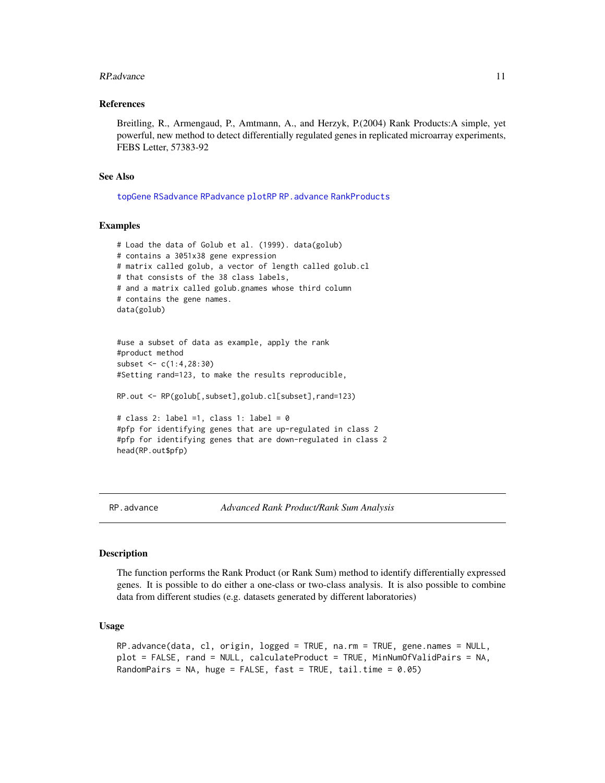#### <span id="page-10-0"></span>RP.advance 11

#### References

Breitling, R., Armengaud, P., Amtmann, A., and Herzyk, P.(2004) Rank Products:A simple, yet powerful, new method to detect differentially regulated genes in replicated microarray experiments, FEBS Letter, 57383-92

#### See Also

[topGene](#page-18-1) [RSadvance](#page-16-1) [RPadvance](#page-13-1) [plotRP](#page-4-1) [RP.advance](#page-10-1) [RankProducts](#page-6-1)

#### Examples

```
# Load the data of Golub et al. (1999). data(golub)
# contains a 3051x38 gene expression
# matrix called golub, a vector of length called golub.cl
# that consists of the 38 class labels,
# and a matrix called golub.gnames whose third column
# contains the gene names.
data(golub)
```

```
#use a subset of data as example, apply the rank
#product method
subset <- c(1:4,28:30)
#Setting rand=123, to make the results reproducible,
```
RP.out <- RP(golub[,subset],golub.cl[subset],rand=123)

```
# class 2: label =1, class 1: label = 0
#pfp for identifying genes that are up-regulated in class 2
#pfp for identifying genes that are down-regulated in class 2
head(RP.out$pfp)
```
<span id="page-10-1"></span>RP.advance *Advanced Rank Product/Rank Sum Analysis*

## Description

The function performs the Rank Product (or Rank Sum) method to identify differentially expressed genes. It is possible to do either a one-class or two-class analysis. It is also possible to combine data from different studies (e.g. datasets generated by different laboratories)

#### Usage

```
RP.advance(data, cl, origin, logged = TRUE, na.rm = TRUE, gene.names = NULL,
plot = FALSE, rand = NULL, calculateProduct = TRUE, MinNumOfValidPairs = NA,
RandomPairs = NA, huge = FALSE, fast = TRUE, tail.time = 0.05)
```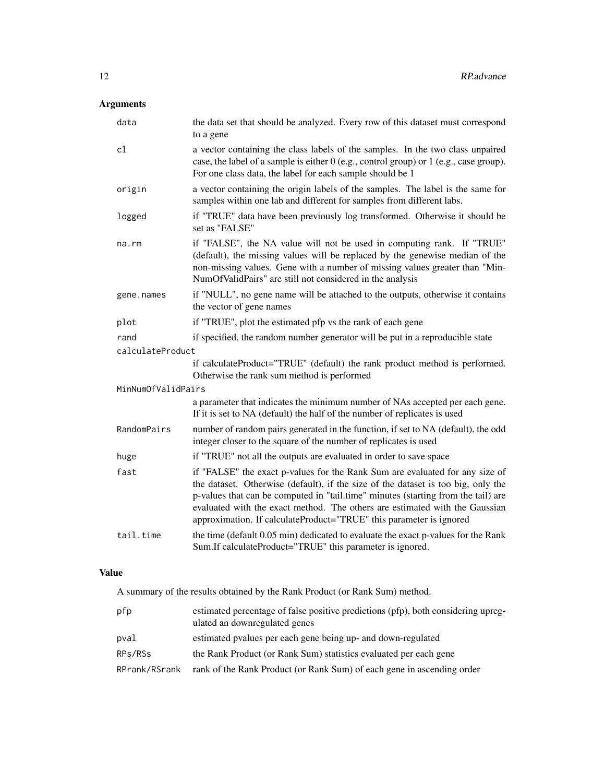# Arguments

| data               | the data set that should be analyzed. Every row of this dataset must correspond<br>to a gene                                                                                                                                                                                                                                                                                                                 |
|--------------------|--------------------------------------------------------------------------------------------------------------------------------------------------------------------------------------------------------------------------------------------------------------------------------------------------------------------------------------------------------------------------------------------------------------|
| c1                 | a vector containing the class labels of the samples. In the two class unpaired<br>case, the label of a sample is either 0 (e.g., control group) or 1 (e.g., case group).<br>For one class data, the label for each sample should be 1                                                                                                                                                                        |
| origin             | a vector containing the origin labels of the samples. The label is the same for<br>samples within one lab and different for samples from different labs.                                                                                                                                                                                                                                                     |
| logged             | if "TRUE" data have been previously log transformed. Otherwise it should be<br>set as "FALSE"                                                                                                                                                                                                                                                                                                                |
| na.rm              | if "FALSE", the NA value will not be used in computing rank. If "TRUE"<br>(default), the missing values will be replaced by the genewise median of the<br>non-missing values. Gene with a number of missing values greater than "Min-<br>NumOfValidPairs" are still not considered in the analysis                                                                                                           |
| gene.names         | if "NULL", no gene name will be attached to the outputs, otherwise it contains<br>the vector of gene names                                                                                                                                                                                                                                                                                                   |
| plot               | if "TRUE", plot the estimated pfp vs the rank of each gene                                                                                                                                                                                                                                                                                                                                                   |
| rand               | if specified, the random number generator will be put in a reproducible state                                                                                                                                                                                                                                                                                                                                |
| calculateProduct   |                                                                                                                                                                                                                                                                                                                                                                                                              |
|                    | if calculateProduct="TRUE" (default) the rank product method is performed.<br>Otherwise the rank sum method is performed                                                                                                                                                                                                                                                                                     |
| MinNumOfValidPairs |                                                                                                                                                                                                                                                                                                                                                                                                              |
|                    | a parameter that indicates the minimum number of NAs accepted per each gene.<br>If it is set to NA (default) the half of the number of replicates is used                                                                                                                                                                                                                                                    |
| RandomPairs        | number of random pairs generated in the function, if set to NA (default), the odd<br>integer closer to the square of the number of replicates is used                                                                                                                                                                                                                                                        |
| huge               | if "TRUE" not all the outputs are evaluated in order to save space                                                                                                                                                                                                                                                                                                                                           |
| fast               | if "FALSE" the exact p-values for the Rank Sum are evaluated for any size of<br>the dataset. Otherwise (default), if the size of the dataset is too big, only the<br>p-values that can be computed in "tail.time" minutes (starting from the tail) are<br>evaluated with the exact method. The others are estimated with the Gaussian<br>approximation. If calculateProduct="TRUE" this parameter is ignored |
| tail.time          | the time (default 0.05 min) dedicated to evaluate the exact p-values for the Rank<br>Sum.If calculateProduct="TRUE" this parameter is ignored.                                                                                                                                                                                                                                                               |

# Value

A summary of the results obtained by the Rank Product (or Rank Sum) method.

| pfp           | estimated percentage of false positive predictions (pfp), both considering upreg-<br>ulated an downregulated genes |
|---------------|--------------------------------------------------------------------------------------------------------------------|
| pval          | estimated pyalues per each gene being up- and down-regulated                                                       |
| RPs/RSs       | the Rank Product (or Rank Sum) statistics evaluated per each gene                                                  |
| RPrank/RSrank | rank of the Rank Product (or Rank Sum) of each gene in ascending order                                             |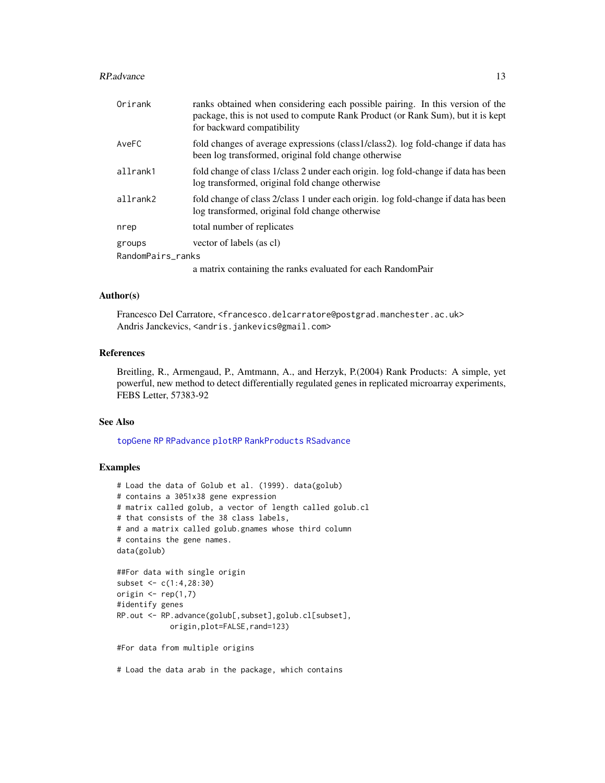#### <span id="page-12-0"></span>RP.advance 23 and 23 and 23 and 23 and 23 and 23 and 23 and 23 and 23 and 23 and 23 and 23 and 23 and 24 and 25 and 26 and 26 and 26 and 26 and 26 and 26 and 26 and 26 and 26 and 26 and 26 and 26 and 26 and 26 and 26 and 2

| Orirank           | ranks obtained when considering each possible pairing. In this version of the<br>package, this is not used to compute Rank Product (or Rank Sum), but it is kept<br>for backward compatibility |
|-------------------|------------------------------------------------------------------------------------------------------------------------------------------------------------------------------------------------|
| AveFC             | fold changes of average expressions (class1/class2). log fold-change if data has<br>been log transformed, original fold change otherwise                                                       |
| allrank1          | fold change of class 1/class 2 under each origin. log fold-change if data has been<br>log transformed, original fold change otherwise                                                          |
| allrank2          | fold change of class 2/class 1 under each origin. log fold-change if data has been<br>log transformed, original fold change otherwise                                                          |
| nrep              | total number of replicates                                                                                                                                                                     |
| groups            | vector of labels (as cl)                                                                                                                                                                       |
| RandomPairs ranks |                                                                                                                                                                                                |
|                   | $\sim$ 200 $\sim$ 300 $\sim$ 400 $\sim$ 400 $\sim$ 400 $\sim$ 400 $\sim$ 400 $\sim$ 400 $\sim$ 400 $\sim$ 500 $\sim$                                                                           |

a matrix containing the ranks evaluated for each RandomPair

# Author(s)

Francesco Del Carratore, <francesco.delcarratore@postgrad.manchester.ac.uk> Andris Janckevics, <andris.jankevics@gmail.com>

# References

Breitling, R., Armengaud, P., Amtmann, A., and Herzyk, P.(2004) Rank Products: A simple, yet powerful, new method to detect differentially regulated genes in replicated microarray experiments, FEBS Letter, 57383-92

#### See Also

[topGene](#page-18-1) [RP](#page-8-1) [RPadvance](#page-13-1) [plotRP](#page-4-1) [RankProducts](#page-6-1) [RSadvance](#page-16-1)

# Examples

```
# Load the data of Golub et al. (1999). data(golub)
# contains a 3051x38 gene expression
# matrix called golub, a vector of length called golub.cl
# that consists of the 38 class labels,
# and a matrix called golub.gnames whose third column
# contains the gene names.
data(golub)
##For data with single origin
subset <- c(1:4,28:30)
origin \leq rep(1,7)
#identify genes
RP.out <- RP.advance(golub[,subset],golub.cl[subset],
            origin,plot=FALSE,rand=123)
```
#For data from multiple origins

# Load the data arab in the package, which contains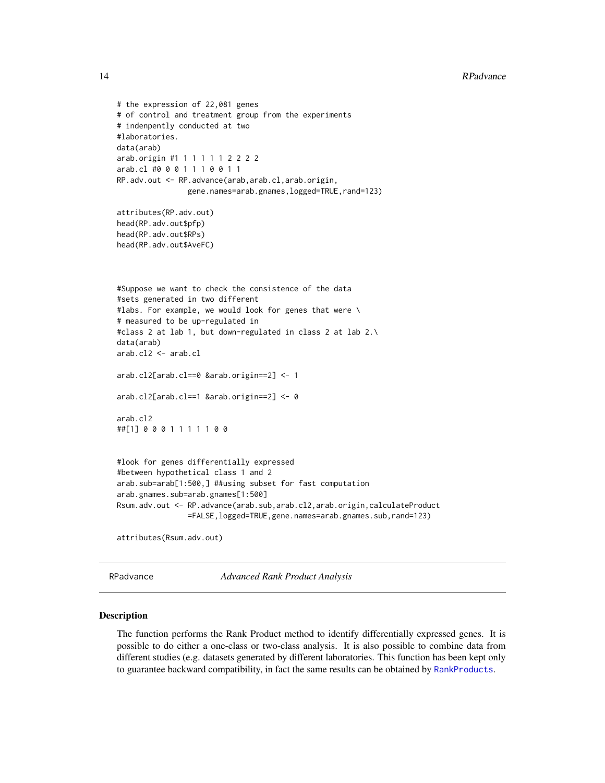```
# the expression of 22,081 genes
# of control and treatment group from the experiments
# indenpently conducted at two
#laboratories.
data(arab)
arab.origin #1 1 1 1 1 1 2 2 2 2
arab.cl #0 0 0 1 1 1 0 0 1 1
RP.adv.out <- RP.advance(arab,arab.cl,arab.origin,
                gene.names=arab.gnames,logged=TRUE,rand=123)
attributes(RP.adv.out)
head(RP.adv.out$pfp)
head(RP.adv.out$RPs)
head(RP.adv.out$AveFC)
#Suppose we want to check the consistence of the data
#sets generated in two different
#labs. For example, we would look for genes that were \
# measured to be up-regulated in
#class 2 at lab 1, but down-regulated in class 2 at lab 2.\
data(arab)
arab.cl2 <- arab.cl
arab.cl2[arab.cl==0 &arab.origin==2] <- 1
arab.cl2[arab.cl==1 &arab.origin==2] <- 0
arab.cl2
##[1] 0 0 0 1 1 1 1 1 0 0
#look for genes differentially expressed
#between hypothetical class 1 and 2
arab.sub=arab[1:500,] ##using subset for fast computation
arab.gnames.sub=arab.gnames[1:500]
Rsum.adv.out <- RP.advance(arab.sub,arab.cl2,arab.origin,calculateProduct
                =FALSE,logged=TRUE,gene.names=arab.gnames.sub,rand=123)
attributes(Rsum.adv.out)
```
<span id="page-13-1"></span>RPadvance *Advanced Rank Product Analysis*

#### Description

The function performs the Rank Product method to identify differentially expressed genes. It is possible to do either a one-class or two-class analysis. It is also possible to combine data from different studies (e.g. datasets generated by different laboratories. This function has been kept only to guarantee backward compatibility, in fact the same results can be obtained by [RankProducts](#page-6-1).

<span id="page-13-0"></span>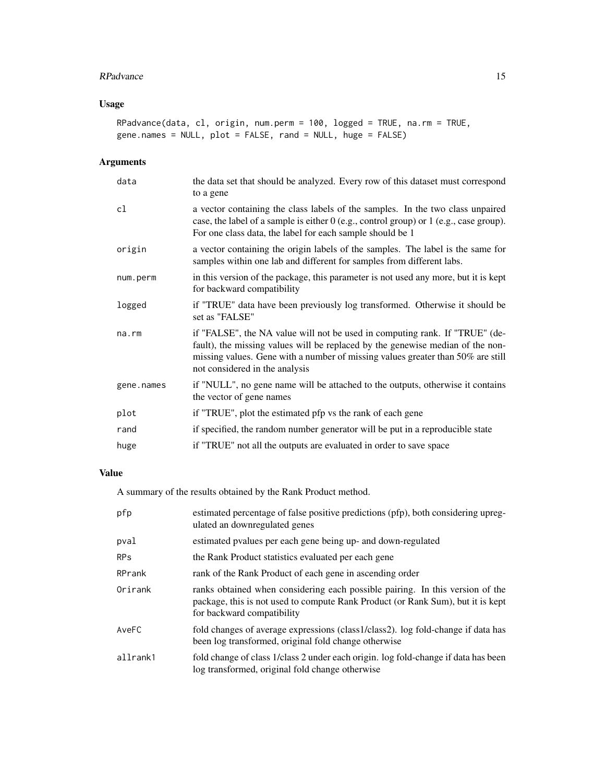# RPadvance 15

# Usage

```
RPadvance(data, cl, origin, num.perm = 100, logged = TRUE, na.rm = TRUE,
gene.names = NULL, plot = FALSE, rand = NULL, huge = FALSE)
```
# Arguments

| data       | the data set that should be analyzed. Every row of this dataset must correspond<br>to a gene                                                                                                                                                                                       |
|------------|------------------------------------------------------------------------------------------------------------------------------------------------------------------------------------------------------------------------------------------------------------------------------------|
| cl         | a vector containing the class labels of the samples. In the two class unpaired<br>case, the label of a sample is either $0$ (e.g., control group) or $1$ (e.g., case group).<br>For one class data, the label for each sample should be 1                                          |
| origin     | a vector containing the origin labels of the samples. The label is the same for<br>samples within one lab and different for samples from different labs.                                                                                                                           |
| num.perm   | in this version of the package, this parameter is not used any more, but it is kept<br>for backward compatibility                                                                                                                                                                  |
| logged     | if "TRUE" data have been previously log transformed. Otherwise it should be<br>set as "FALSE"                                                                                                                                                                                      |
| na.rm      | if "FALSE", the NA value will not be used in computing rank. If "TRUE" (de-<br>fault), the missing values will be replaced by the genewise median of the non-<br>missing values. Gene with a number of missing values greater than 50% are still<br>not considered in the analysis |
| gene.names | if "NULL", no gene name will be attached to the outputs, otherwise it contains<br>the vector of gene names                                                                                                                                                                         |
| plot       | if "TRUE", plot the estimated pfp vs the rank of each gene                                                                                                                                                                                                                         |
| rand       | if specified, the random number generator will be put in a reproducible state                                                                                                                                                                                                      |
| huge       | if "TRUE" not all the outputs are evaluated in order to save space                                                                                                                                                                                                                 |

# Value

A summary of the results obtained by the Rank Product method.

| pfp        | estimated percentage of false positive predictions (pfp), both considering upreg-<br>ulated an downregulated genes                                                                             |
|------------|------------------------------------------------------------------------------------------------------------------------------------------------------------------------------------------------|
| pval       | estimated pvalues per each gene being up- and down-regulated                                                                                                                                   |
| <b>RPs</b> | the Rank Product statistics evaluated per each gene                                                                                                                                            |
| RPrank     | rank of the Rank Product of each gene in ascending order                                                                                                                                       |
| Orirank    | ranks obtained when considering each possible pairing. In this version of the<br>package, this is not used to compute Rank Product (or Rank Sum), but it is kept<br>for backward compatibility |
| AveFC      | fold changes of average expressions (class1/class2). log fold-change if data has<br>been log transformed, original fold change otherwise                                                       |
| allrank1   | fold change of class 1/class 2 under each origin. log fold-change if data has been<br>log transformed, original fold change otherwise                                                          |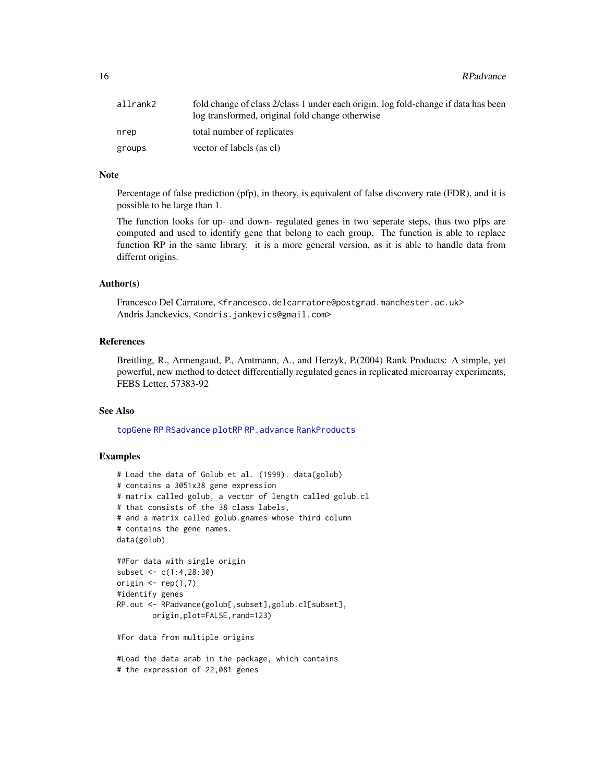<span id="page-15-0"></span>16 RPadvance Research 2016 **RPadvance** 

| allrank2 | fold change of class 2/class 1 under each origin. log fold-change if data has been<br>log transformed, original fold change otherwise |
|----------|---------------------------------------------------------------------------------------------------------------------------------------|
| nrep     | total number of replicates                                                                                                            |
| groups   | vector of labels (as cl)                                                                                                              |

## Note

Percentage of false prediction (pfp), in theory, is equivalent of false discovery rate (FDR), and it is possible to be large than 1.

The function looks for up- and down- regulated genes in two seperate steps, thus two pfps are computed and used to identify gene that belong to each group. The function is able to replace function RP in the same library. it is a more general version, as it is able to handle data from differnt origins.

# Author(s)

Francesco Del Carratore, <francesco.delcarratore@postgrad.manchester.ac.uk> Andris Janckevics, <andris.jankevics@gmail.com>

#### References

Breitling, R., Armengaud, P., Amtmann, A., and Herzyk, P.(2004) Rank Products: A simple, yet powerful, new method to detect differentially regulated genes in replicated microarray experiments, FEBS Letter, 57383-92

#### See Also

[topGene](#page-18-1) [RP](#page-8-1) [RSadvance](#page-16-1) [plotRP](#page-4-1) [RP.advance](#page-10-1) [RankProducts](#page-6-1)

#### Examples

```
# Load the data of Golub et al. (1999). data(golub)
# contains a 3051x38 gene expression
# matrix called golub, a vector of length called golub.cl
# that consists of the 38 class labels,
# and a matrix called golub.gnames whose third column
# contains the gene names.
data(golub)
##For data with single origin
subset <- c(1:4,28:30)
origin \leq rep(1,7)
#identify genes
RP.out <- RPadvance(golub[,subset],golub.cl[subset],
        origin,plot=FALSE,rand=123)
```
#For data from multiple origins

#Load the data arab in the package, which contains # the expression of 22,081 genes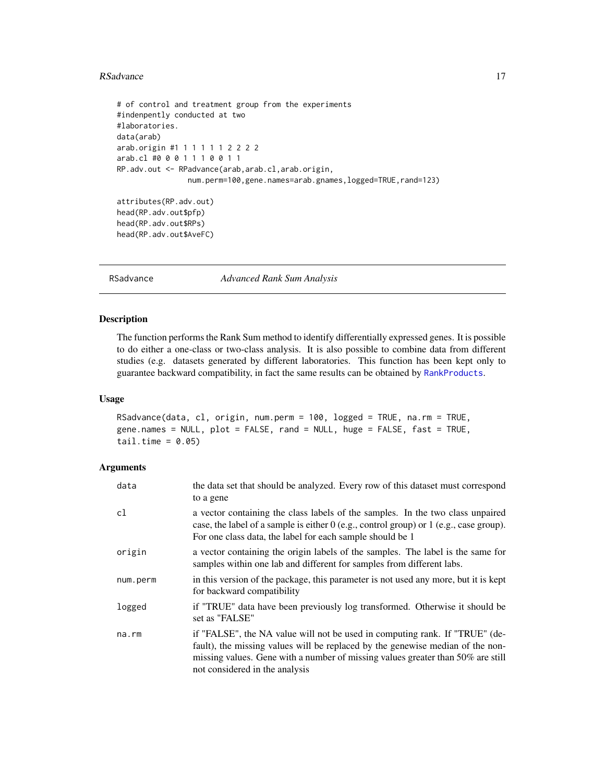#### <span id="page-16-0"></span>RSadvance 2008 and 2008 and 2008 and 2008 and 2008 and 2008 and 2008 and 2008 and 2008 and 2008 and 2008 and 2008 and 2008 and 2008 and 2008 and 2008 and 2008 and 2008 and 2008 and 2008 and 2008 and 2008 and 2008 and 2008

```
# of control and treatment group from the experiments
#indenpently conducted at two
#laboratories.
data(arab)
arab.origin #1 1 1 1 1 1 2 2 2 2
arab.cl #0 0 0 1 1 1 0 0 1 1
RP.adv.out <- RPadvance(arab,arab.cl,arab.origin,
                num.perm=100,gene.names=arab.gnames,logged=TRUE,rand=123)
attributes(RP.adv.out)
```

```
head(RP.adv.out$pfp)
head(RP.adv.out$RPs)
head(RP.adv.out$AveFC)
```
RSadvance *Advanced Rank Sum Analysis*

# Description

The function performs the Rank Sum method to identify differentially expressed genes. It is possible to do either a one-class or two-class analysis. It is also possible to combine data from different studies (e.g. datasets generated by different laboratories. This function has been kept only to guarantee backward compatibility, in fact the same results can be obtained by [RankProducts](#page-6-1).

#### Usage

```
RSadvance(data, cl, origin, num.perm = 100, logged = TRUE, na.rm = TRUE,
gene.names = NULL, plot = FALSE, rand = NULL, huge = FALSE, fast = TRUE,
tail.time = 0.05)
```
## Arguments

| data     | the data set that should be analyzed. Every row of this dataset must correspond<br>to a gene                                                                                                                                                                                       |
|----------|------------------------------------------------------------------------------------------------------------------------------------------------------------------------------------------------------------------------------------------------------------------------------------|
| cl       | a vector containing the class labels of the samples. In the two class unpaired<br>case, the label of a sample is either 0 (e.g., control group) or 1 (e.g., case group).<br>For one class data, the label for each sample should be 1                                              |
| origin   | a vector containing the origin labels of the samples. The label is the same for<br>samples within one lab and different for samples from different labs.                                                                                                                           |
| num.perm | in this version of the package, this parameter is not used any more, but it is kept<br>for backward compatibility                                                                                                                                                                  |
| logged   | if "TRUE" data have been previously log transformed. Otherwise it should be<br>set as "FALSE"                                                                                                                                                                                      |
| na.rm    | if "FALSE", the NA value will not be used in computing rank. If "TRUE" (de-<br>fault), the missing values will be replaced by the genewise median of the non-<br>missing values. Gene with a number of missing values greater than 50% are still<br>not considered in the analysis |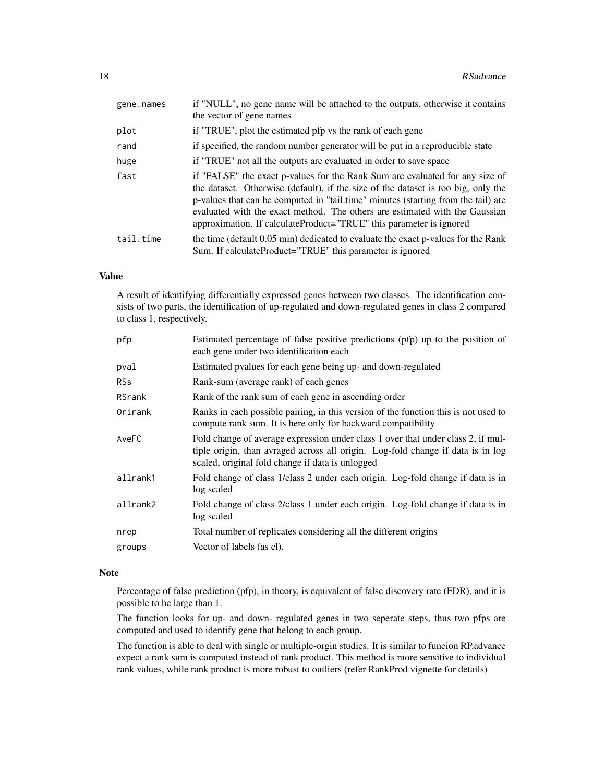| gene.names | if "NULL", no gene name will be attached to the outputs, otherwise it contains<br>the vector of gene names                                                                                                                                                                                                                                                                                                   |
|------------|--------------------------------------------------------------------------------------------------------------------------------------------------------------------------------------------------------------------------------------------------------------------------------------------------------------------------------------------------------------------------------------------------------------|
| plot       | if "TRUE", plot the estimated pfp vs the rank of each gene                                                                                                                                                                                                                                                                                                                                                   |
| rand       | if specified, the random number generator will be put in a reproducible state                                                                                                                                                                                                                                                                                                                                |
| huge       | if "TRUE" not all the outputs are evaluated in order to save space                                                                                                                                                                                                                                                                                                                                           |
| fast       | if "FALSE" the exact p-values for the Rank Sum are evaluated for any size of<br>the dataset. Otherwise (default), if the size of the dataset is too big, only the<br>p-values that can be computed in "tail.time" minutes (starting from the tail) are<br>evaluated with the exact method. The others are estimated with the Gaussian<br>approximation. If calculateProduct="TRUE" this parameter is ignored |
| tail.time  | the time (default 0.05 min) dedicated to evaluate the exact p-values for the Rank<br>Sum. If calculateProduct="TRUE" this parameter is ignored                                                                                                                                                                                                                                                               |

## Value

A result of identifying differentially expressed genes between two classes. The identification consists of two parts, the identification of up-regulated and down-regulated genes in class 2 compared to class 1, respectively.

| pfp        | Estimated percentage of false positive predictions (pfp) up to the position of<br>each gene under two identificaiton each                                                                                               |
|------------|-------------------------------------------------------------------------------------------------------------------------------------------------------------------------------------------------------------------------|
| pval       | Estimated pvalues for each gene being up- and down-regulated                                                                                                                                                            |
| <b>RSs</b> | Rank-sum (average rank) of each genes                                                                                                                                                                                   |
| RSrank     | Rank of the rank sum of each gene in ascending order                                                                                                                                                                    |
| Orirank    | Ranks in each possible pairing, in this version of the function this is not used to<br>compute rank sum. It is here only for backward compatibility                                                                     |
| AveFC      | Fold change of average expression under class 1 over that under class 2, if mul-<br>tiple origin, than avraged across all origin. Log-fold change if data is in log<br>scaled, original fold change if data is unlogged |
| allrank1   | Fold change of class 1/class 2 under each origin. Log-fold change if data is in<br>log scaled                                                                                                                           |
| allrank2   | Fold change of class 2/class 1 under each origin. Log-fold change if data is in<br>log scaled                                                                                                                           |
| nrep       | Total number of replicates considering all the different origins                                                                                                                                                        |
| groups     | Vector of labels (as cl).                                                                                                                                                                                               |
|            |                                                                                                                                                                                                                         |

# Note

Percentage of false prediction (pfp), in theory, is equivalent of false discovery rate (FDR), and it is possible to be large than 1.

The function looks for up- and down- regulated genes in two seperate steps, thus two pfps are computed and used to identify gene that belong to each group.

The function is able to deal with single or multiple-orgin studies. It is similar to funcion RP.advance expect a rank sum is computed instead of rank product. This method is more sensitive to individual rank values, while rank product is more robust to outliers (refer RankProd vignette for details)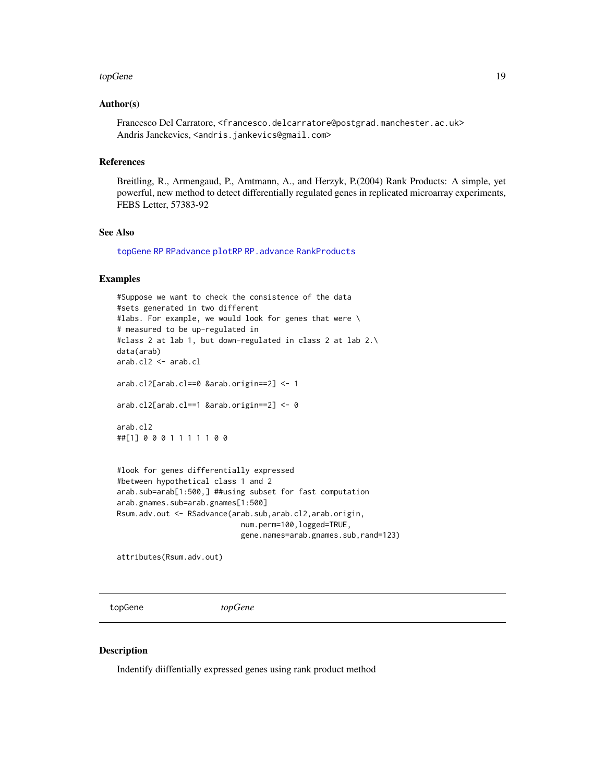#### <span id="page-18-0"></span>topGene topGene the contract of the contract of the contract of the contract of the contract of the contract of the contract of the contract of the contract of the contract of the contract of the contract of the contract o

#### Author(s)

Francesco Del Carratore, <francesco.delcarratore@postgrad.manchester.ac.uk> Andris Janckevics, <andris.jankevics@gmail.com>

### References

Breitling, R., Armengaud, P., Amtmann, A., and Herzyk, P.(2004) Rank Products: A simple, yet powerful, new method to detect differentially regulated genes in replicated microarray experiments, FEBS Letter, 57383-92

#### See Also

[topGene](#page-18-1) [RP](#page-8-1) [RPadvance](#page-13-1) [plotRP](#page-4-1) [RP.advance](#page-10-1) [RankProducts](#page-6-1)

#### Examples

```
#Suppose we want to check the consistence of the data
#sets generated in two different
#labs. For example, we would look for genes that were \
# measured to be up-regulated in
#class 2 at lab 1, but down-regulated in class 2 at lab 2.\
data(arab)
arab.cl2 <- arab.cl
arab.cl2[arab.cl==0 &arab.origin==2] <- 1
arab.cl2[arab.cl==1 &arab.origin==2] <- 0
arab.cl2
##[1] 0 0 0 1 1 1 1 1 0 0
#look for genes differentially expressed
#between hypothetical class 1 and 2
arab.sub=arab[1:500,] ##using subset for fast computation
arab.gnames.sub=arab.gnames[1:500]
Rsum.adv.out <- RSadvance(arab.sub,arab.cl2,arab.origin,
                            num.perm=100,logged=TRUE,
                            gene.names=arab.gnames.sub,rand=123)
```
attributes(Rsum.adv.out)

<span id="page-18-1"></span>topGene *topGene*

#### Description

Indentify diiffentially expressed genes using rank product method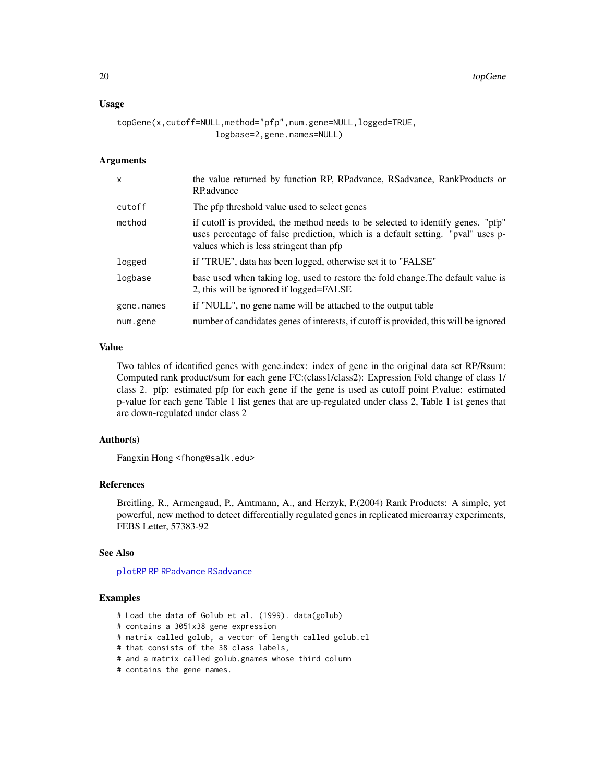#### <span id="page-19-0"></span>Usage

```
topGene(x,cutoff=NULL,method="pfp",num.gene=NULL,logged=TRUE,
                    logbase=2,gene.names=NULL)
```
#### Arguments

| $\mathsf{x}$ | the value returned by function RP, RPadvance, RSadvance, RankProducts or<br>RP.advance                                                                                                                        |
|--------------|---------------------------------------------------------------------------------------------------------------------------------------------------------------------------------------------------------------|
| cutoff       | The pfp threshold value used to select genes                                                                                                                                                                  |
| method       | if cutoff is provided, the method needs to be selected to identify genes. "pfp"<br>uses percentage of false prediction, which is a default setting. "pval" uses p-<br>values which is less stringent than pfp |
| logged       | if "TRUE", data has been logged, otherwise set it to "FALSE"                                                                                                                                                  |
| logbase      | base used when taking log, used to restore the fold change. The default value is<br>2, this will be ignored if logged=FALSE                                                                                   |
| gene.names   | if "NULL", no gene name will be attached to the output table                                                                                                                                                  |
| num.gene     | number of candidates genes of interests, if cutoff is provided, this will be ignored                                                                                                                          |

# Value

Two tables of identified genes with gene.index: index of gene in the original data set RP/Rsum: Computed rank product/sum for each gene FC:(class1/class2): Expression Fold change of class 1/ class 2. pfp: estimated pfp for each gene if the gene is used as cutoff point P.value: estimated p-value for each gene Table 1 list genes that are up-regulated under class 2, Table 1 ist genes that are down-regulated under class 2

# Author(s)

Fangxin Hong <fhong@salk.edu>

#### References

Breitling, R., Armengaud, P., Amtmann, A., and Herzyk, P.(2004) Rank Products: A simple, yet powerful, new method to detect differentially regulated genes in replicated microarray experiments, FEBS Letter, 57383-92

#### See Also

[plotRP](#page-4-1) [RP](#page-8-1) [RPadvance](#page-13-1) [RSadvance](#page-16-1)

#### Examples

- # Load the data of Golub et al. (1999). data(golub)
- # contains a 3051x38 gene expression
- # matrix called golub, a vector of length called golub.cl
- # that consists of the 38 class labels,
- # and a matrix called golub.gnames whose third column
- # contains the gene names.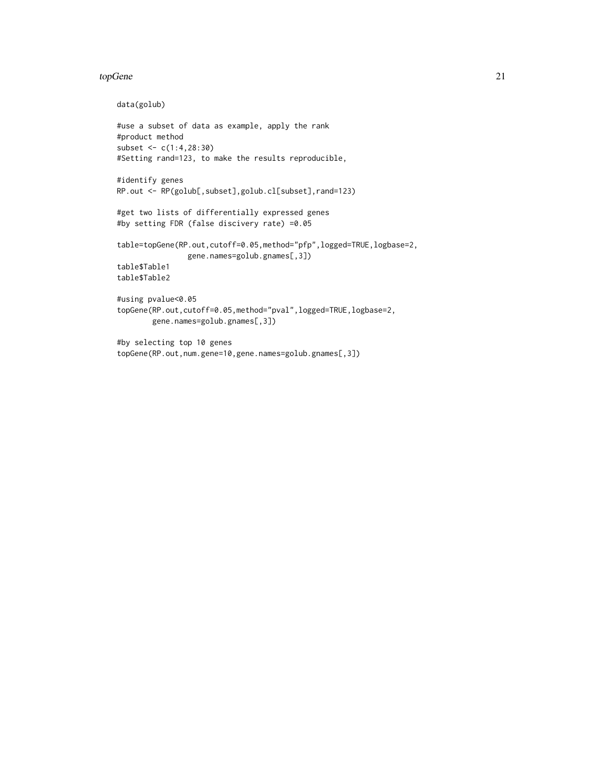#### topGene 21

```
data(golub)
```

```
#use a subset of data as example, apply the rank
#product method
subset <- c(1:4,28:30)
#Setting rand=123, to make the results reproducible,
#identify genes
RP.out <- RP(golub[,subset],golub.cl[subset],rand=123)
#get two lists of differentially expressed genes
#by setting FDR (false discivery rate) =0.05
table=topGene(RP.out,cutoff=0.05,method="pfp",logged=TRUE,logbase=2,
                gene.names=golub.gnames[,3])
table$Table1
table$Table2
#using pvalue<0.05
topGene(RP.out,cutoff=0.05,method="pval",logged=TRUE,logbase=2,
       gene.names=golub.gnames[,3])
#by selecting top 10 genes
topGene(RP.out,num.gene=10,gene.names=golub.gnames[,3])
```